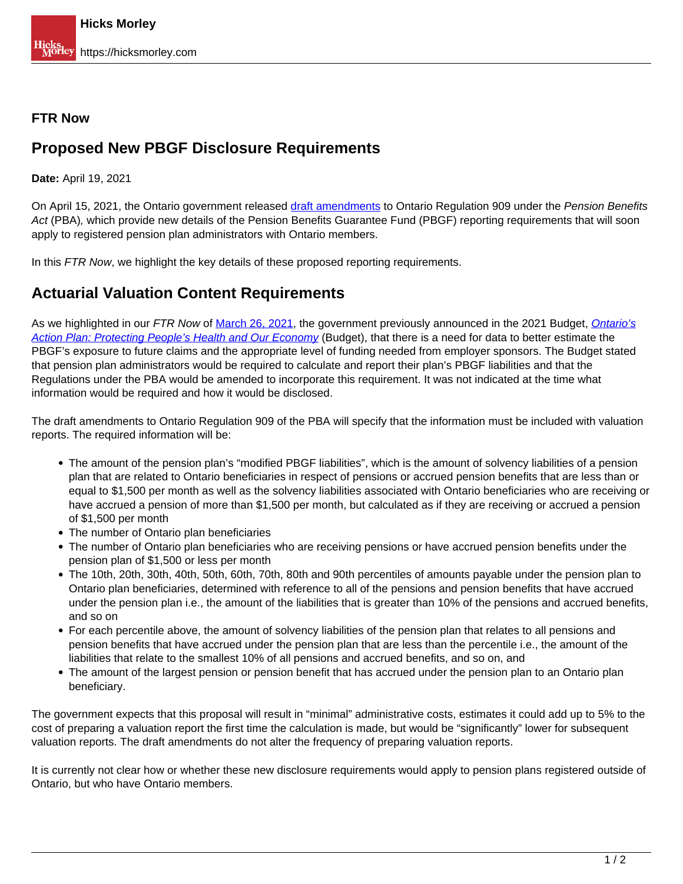## **FTR Now**

## **Proposed New PBGF Disclosure Requirements**

**Date:** April 19, 2021

On April 15, 2021, the Ontario government released [draft amendments](https://www.ontariocanada.com/registry/view.do?postingId=37027&language=en) to Ontario Regulation 909 under the Pension Benefits Act (PBA), which provide new details of the Pension Benefits Guarantee Fund (PBGF) reporting requirements that will soon apply to registered pension plan administrators with Ontario members.

In this FTR Now, we highlight the key details of these proposed reporting requirements.

## **Actuarial Valuation Content Requirements**

As we highlighted in our FTR Now of March 26, 2021, the government previously announced in the 2021 Budget, Ontario's Action Plan: Protecting People's Health and Our Economy (Budget), that there is a need for data to better estimate the PBGF's exposure to future claims and the appropriate level of funding needed from employer sponsors. The Budget stated that pension plan administrators would be required to calculate and report their plan's PBGF liabilities and that the Regulations under the PBA would be amended to incorporate this requirement. It was not indicated at the time what information would be required and how it would be disclosed.

The draft amendments to Ontario Regulation 909 of the PBA will specify that the information must be included with valuation reports. The required information will be:

- The amount of the pension plan's "modified PBGF liabilities", which is the amount of solvency liabilities of a pension plan that are related to Ontario beneficiaries in respect of pensions or accrued pension benefits that are less than or equal to \$1,500 per month as well as the solvency liabilities associated with Ontario beneficiaries who are receiving or have accrued a pension of more than \$1,500 per month, but calculated as if they are receiving or accrued a pension of \$1,500 per month
- The number of Ontario plan beneficiaries
- The number of Ontario plan beneficiaries who are receiving pensions or have accrued pension benefits under the pension plan of \$1,500 or less per month
- The 10th, 20th, 30th, 40th, 50th, 60th, 70th, 80th and 90th percentiles of amounts payable under the pension plan to Ontario plan beneficiaries, determined with reference to all of the pensions and pension benefits that have accrued under the pension plan i.e., the amount of the liabilities that is greater than 10% of the pensions and accrued benefits, and so on
- For each percentile above, the amount of solvency liabilities of the pension plan that relates to all pensions and pension benefits that have accrued under the pension plan that are less than the percentile i.e., the amount of the liabilities that relate to the smallest 10% of all pensions and accrued benefits, and so on, and
- The amount of the largest pension or pension benefit that has accrued under the pension plan to an Ontario plan beneficiary.

The government expects that this proposal will result in "minimal" administrative costs, estimates it could add up to 5% to the cost of preparing a valuation report the first time the calculation is made, but would be "significantly" lower for subsequent valuation reports. The draft amendments do not alter the frequency of preparing valuation reports.

It is currently not clear how or whether these new disclosure requirements would apply to pension plans registered outside of Ontario, but who have Ontario members.